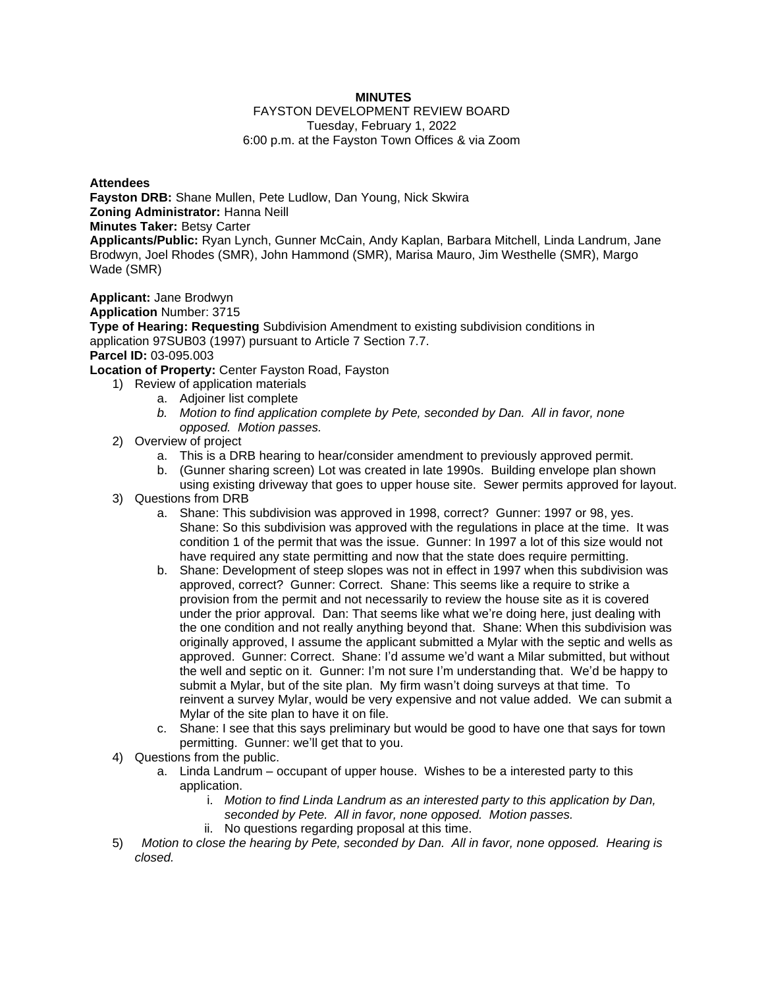## **MINUTES**

#### FAYSTON DEVELOPMENT REVIEW BOARD Tuesday, February 1, 2022 6:00 p.m. at the Fayston Town Offices & via Zoom

### **Attendees**

**Fayston DRB:** Shane Mullen, Pete Ludlow, Dan Young, Nick Skwira **Zoning Administrator:** Hanna Neill

**Minutes Taker:** Betsy Carter

**Applicants/Public:** Ryan Lynch, Gunner McCain, Andy Kaplan, Barbara Mitchell, Linda Landrum, Jane Brodwyn, Joel Rhodes (SMR), John Hammond (SMR), Marisa Mauro, Jim Westhelle (SMR), Margo Wade (SMR)

**Applicant:** Jane Brodwyn

### **Application** Number: 3715

**Type of Hearing: Requesting** Subdivision Amendment to existing subdivision conditions in application 97SUB03 (1997) pursuant to Article 7 Section 7.7. **Parcel ID:** 03-095.003

**Location of Property:** Center Fayston Road, Fayston

- 1) Review of application materials
	- a. Adjoiner list complete
	- *b. Motion to find application complete by Pete, seconded by Dan. All in favor, none opposed. Motion passes.*
- 2) Overview of project
	- a. This is a DRB hearing to hear/consider amendment to previously approved permit.
	- b. (Gunner sharing screen) Lot was created in late 1990s. Building envelope plan shown using existing driveway that goes to upper house site. Sewer permits approved for layout.
- 3) Questions from DRB
	- a. Shane: This subdivision was approved in 1998, correct? Gunner: 1997 or 98, yes. Shane: So this subdivision was approved with the regulations in place at the time. It was condition 1 of the permit that was the issue. Gunner: In 1997 a lot of this size would not have required any state permitting and now that the state does require permitting.
	- b. Shane: Development of steep slopes was not in effect in 1997 when this subdivision was approved, correct? Gunner: Correct. Shane: This seems like a require to strike a provision from the permit and not necessarily to review the house site as it is covered under the prior approval. Dan: That seems like what we're doing here, just dealing with the one condition and not really anything beyond that. Shane: When this subdivision was originally approved, I assume the applicant submitted a Mylar with the septic and wells as approved. Gunner: Correct. Shane: I'd assume we'd want a Milar submitted, but without the well and septic on it. Gunner: I'm not sure I'm understanding that. We'd be happy to submit a Mylar, but of the site plan. My firm wasn't doing surveys at that time. To reinvent a survey Mylar, would be very expensive and not value added. We can submit a Mylar of the site plan to have it on file.
	- c. Shane: I see that this says preliminary but would be good to have one that says for town permitting. Gunner: we'll get that to you.
- 4) Questions from the public.
	- a. Linda Landrum occupant of upper house. Wishes to be a interested party to this application.
		- i. *Motion to find Linda Landrum as an interested party to this application by Dan, seconded by Pete. All in favor, none opposed. Motion passes.*
		- ii. No questions regarding proposal at this time.
- 5) *Motion to close the hearing by Pete, seconded by Dan. All in favor, none opposed. Hearing is closed.*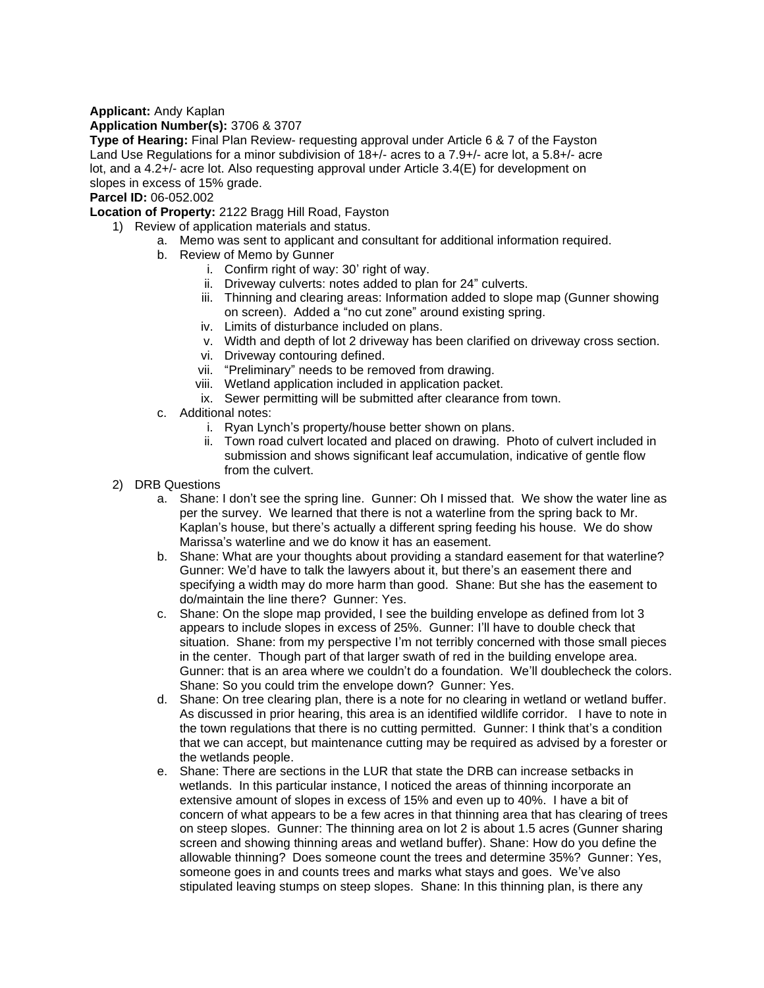# **Applicant:** Andy Kaplan

# **Application Number(s):** 3706 & 3707

**Type of Hearing:** Final Plan Review- requesting approval under Article 6 & 7 of the Fayston Land Use Regulations for a minor subdivision of 18+/- acres to a 7.9+/- acre lot, a 5.8+/- acre lot, and a 4.2+/- acre lot. Also requesting approval under Article 3.4(E) for development on slopes in excess of 15% grade.

# **Parcel ID:** 06-052.002

**Location of Property:** 2122 Bragg Hill Road, Fayston

- 1) Review of application materials and status.
	- a. Memo was sent to applicant and consultant for additional information required.
	- b. Review of Memo by Gunner
		- i. Confirm right of way: 30' right of way.
		- ii. Driveway culverts: notes added to plan for 24" culverts.
		- iii. Thinning and clearing areas: Information added to slope map (Gunner showing on screen). Added a "no cut zone" around existing spring.
		- iv. Limits of disturbance included on plans.
		- v. Width and depth of lot 2 driveway has been clarified on driveway cross section.
		- vi. Driveway contouring defined.
		- vii. "Preliminary" needs to be removed from drawing.
		- viii. Wetland application included in application packet.
		- ix. Sewer permitting will be submitted after clearance from town.
	- c. Additional notes:
		- i. Ryan Lynch's property/house better shown on plans.
		- ii. Town road culvert located and placed on drawing. Photo of culvert included in submission and shows significant leaf accumulation, indicative of gentle flow from the culvert.
- 2) DRB Questions
	- a. Shane: I don't see the spring line. Gunner: Oh I missed that. We show the water line as per the survey. We learned that there is not a waterline from the spring back to Mr. Kaplan's house, but there's actually a different spring feeding his house. We do show Marissa's waterline and we do know it has an easement.
	- b. Shane: What are your thoughts about providing a standard easement for that waterline? Gunner: We'd have to talk the lawyers about it, but there's an easement there and specifying a width may do more harm than good. Shane: But she has the easement to do/maintain the line there? Gunner: Yes.
	- c. Shane: On the slope map provided, I see the building envelope as defined from lot 3 appears to include slopes in excess of 25%. Gunner: I'll have to double check that situation. Shane: from my perspective I'm not terribly concerned with those small pieces in the center. Though part of that larger swath of red in the building envelope area. Gunner: that is an area where we couldn't do a foundation. We'll doublecheck the colors. Shane: So you could trim the envelope down? Gunner: Yes.
	- d. Shane: On tree clearing plan, there is a note for no clearing in wetland or wetland buffer. As discussed in prior hearing, this area is an identified wildlife corridor. I have to note in the town regulations that there is no cutting permitted. Gunner: I think that's a condition that we can accept, but maintenance cutting may be required as advised by a forester or the wetlands people.
	- e. Shane: There are sections in the LUR that state the DRB can increase setbacks in wetlands. In this particular instance, I noticed the areas of thinning incorporate an extensive amount of slopes in excess of 15% and even up to 40%. I have a bit of concern of what appears to be a few acres in that thinning area that has clearing of trees on steep slopes. Gunner: The thinning area on lot 2 is about 1.5 acres (Gunner sharing screen and showing thinning areas and wetland buffer). Shane: How do you define the allowable thinning? Does someone count the trees and determine 35%? Gunner: Yes, someone goes in and counts trees and marks what stays and goes. We've also stipulated leaving stumps on steep slopes. Shane: In this thinning plan, is there any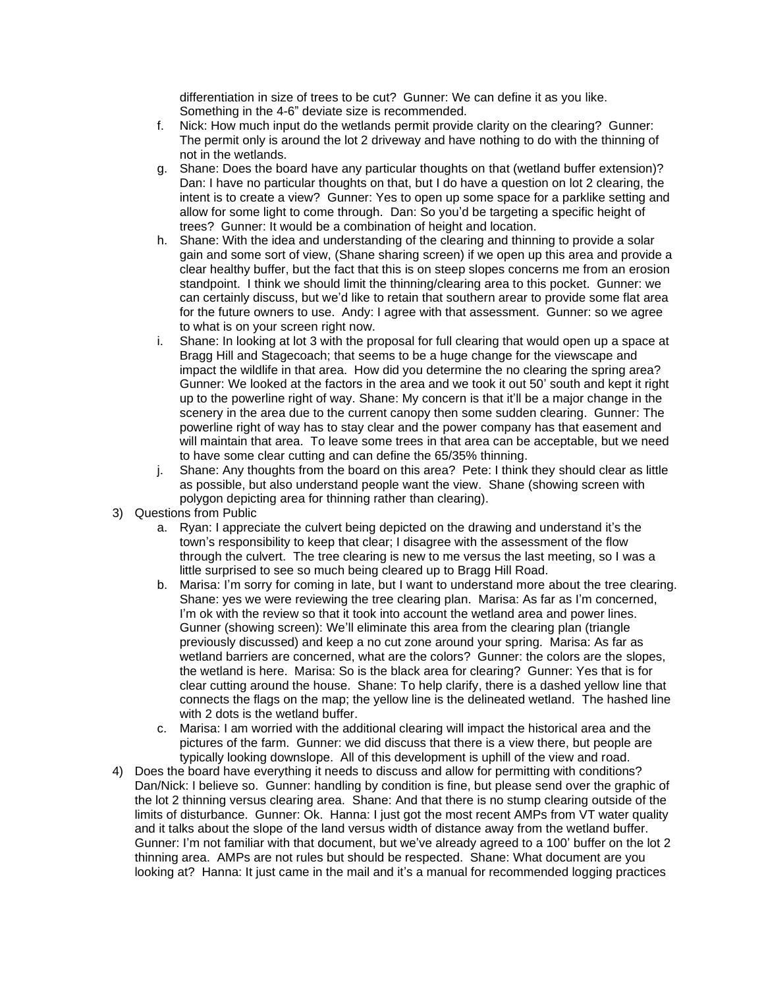differentiation in size of trees to be cut? Gunner: We can define it as you like. Something in the 4-6" deviate size is recommended.

- f. Nick: How much input do the wetlands permit provide clarity on the clearing? Gunner: The permit only is around the lot 2 driveway and have nothing to do with the thinning of not in the wetlands.
- g. Shane: Does the board have any particular thoughts on that (wetland buffer extension)? Dan: I have no particular thoughts on that, but I do have a question on lot 2 clearing, the intent is to create a view? Gunner: Yes to open up some space for a parklike setting and allow for some light to come through. Dan: So you'd be targeting a specific height of trees? Gunner: It would be a combination of height and location.
- h. Shane: With the idea and understanding of the clearing and thinning to provide a solar gain and some sort of view, (Shane sharing screen) if we open up this area and provide a clear healthy buffer, but the fact that this is on steep slopes concerns me from an erosion standpoint. I think we should limit the thinning/clearing area to this pocket. Gunner: we can certainly discuss, but we'd like to retain that southern arear to provide some flat area for the future owners to use. Andy: I agree with that assessment. Gunner: so we agree to what is on your screen right now.
- i. Shane: In looking at lot 3 with the proposal for full clearing that would open up a space at Bragg Hill and Stagecoach; that seems to be a huge change for the viewscape and impact the wildlife in that area. How did you determine the no clearing the spring area? Gunner: We looked at the factors in the area and we took it out 50' south and kept it right up to the powerline right of way. Shane: My concern is that it'll be a major change in the scenery in the area due to the current canopy then some sudden clearing. Gunner: The powerline right of way has to stay clear and the power company has that easement and will maintain that area. To leave some trees in that area can be acceptable, but we need to have some clear cutting and can define the 65/35% thinning.
- j. Shane: Any thoughts from the board on this area? Pete: I think they should clear as little as possible, but also understand people want the view. Shane (showing screen with polygon depicting area for thinning rather than clearing).
- 3) Questions from Public
	- a. Ryan: I appreciate the culvert being depicted on the drawing and understand it's the town's responsibility to keep that clear; I disagree with the assessment of the flow through the culvert. The tree clearing is new to me versus the last meeting, so I was a little surprised to see so much being cleared up to Bragg Hill Road.
	- b. Marisa: I'm sorry for coming in late, but I want to understand more about the tree clearing. Shane: yes we were reviewing the tree clearing plan. Marisa: As far as I'm concerned, I'm ok with the review so that it took into account the wetland area and power lines. Gunner (showing screen): We'll eliminate this area from the clearing plan (triangle previously discussed) and keep a no cut zone around your spring. Marisa: As far as wetland barriers are concerned, what are the colors? Gunner: the colors are the slopes, the wetland is here. Marisa: So is the black area for clearing? Gunner: Yes that is for clear cutting around the house. Shane: To help clarify, there is a dashed yellow line that connects the flags on the map; the yellow line is the delineated wetland. The hashed line with 2 dots is the wetland buffer.
	- c. Marisa: I am worried with the additional clearing will impact the historical area and the pictures of the farm. Gunner: we did discuss that there is a view there, but people are typically looking downslope. All of this development is uphill of the view and road.
- 4) Does the board have everything it needs to discuss and allow for permitting with conditions? Dan/Nick: I believe so. Gunner: handling by condition is fine, but please send over the graphic of the lot 2 thinning versus clearing area. Shane: And that there is no stump clearing outside of the limits of disturbance. Gunner: Ok. Hanna: I just got the most recent AMPs from VT water quality and it talks about the slope of the land versus width of distance away from the wetland buffer. Gunner: I'm not familiar with that document, but we've already agreed to a 100' buffer on the lot 2 thinning area. AMPs are not rules but should be respected. Shane: What document are you looking at? Hanna: It just came in the mail and it's a manual for recommended logging practices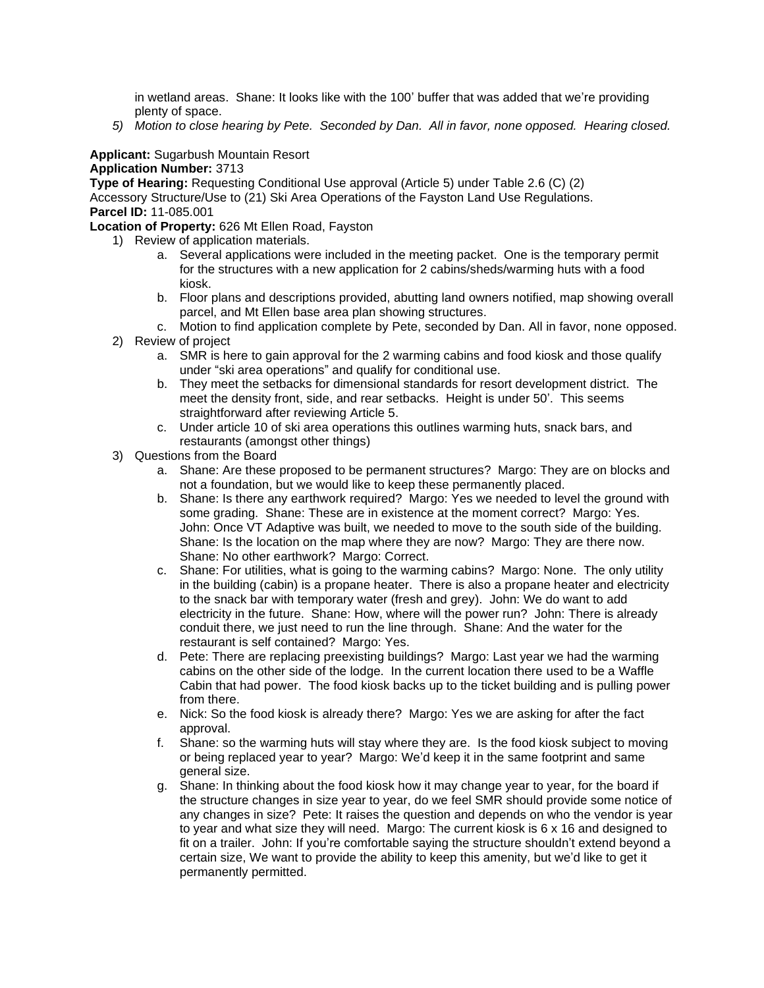in wetland areas. Shane: It looks like with the 100' buffer that was added that we're providing plenty of space.

*5) Motion to close hearing by Pete. Seconded by Dan. All in favor, none opposed. Hearing closed.* 

### **Applicant:** Sugarbush Mountain Resort **Application Number:** 3713

**Type of Hearing:** Requesting Conditional Use approval (Article 5) under Table 2.6 (C) (2) Accessory Structure/Use to (21) Ski Area Operations of the Fayston Land Use Regulations. **Parcel ID:** 11-085.001

**Location of Property:** 626 Mt Ellen Road, Fayston

- 1) Review of application materials.
	- a. Several applications were included in the meeting packet. One is the temporary permit for the structures with a new application for 2 cabins/sheds/warming huts with a food kiosk.
		- b. Floor plans and descriptions provided, abutting land owners notified, map showing overall parcel, and Mt Ellen base area plan showing structures.
	- c. Motion to find application complete by Pete, seconded by Dan. All in favor, none opposed.
- 2) Review of project
	- a. SMR is here to gain approval for the 2 warming cabins and food kiosk and those qualify under "ski area operations" and qualify for conditional use.
	- b. They meet the setbacks for dimensional standards for resort development district. The meet the density front, side, and rear setbacks. Height is under 50'. This seems straightforward after reviewing Article 5.
	- c. Under article 10 of ski area operations this outlines warming huts, snack bars, and restaurants (amongst other things)
- 3) Questions from the Board
	- a. Shane: Are these proposed to be permanent structures? Margo: They are on blocks and not a foundation, but we would like to keep these permanently placed.
	- b. Shane: Is there any earthwork required? Margo: Yes we needed to level the ground with some grading. Shane: These are in existence at the moment correct? Margo: Yes. John: Once VT Adaptive was built, we needed to move to the south side of the building. Shane: Is the location on the map where they are now? Margo: They are there now. Shane: No other earthwork? Margo: Correct.
	- c. Shane: For utilities, what is going to the warming cabins? Margo: None. The only utility in the building (cabin) is a propane heater. There is also a propane heater and electricity to the snack bar with temporary water (fresh and grey). John: We do want to add electricity in the future. Shane: How, where will the power run? John: There is already conduit there, we just need to run the line through. Shane: And the water for the restaurant is self contained? Margo: Yes.
	- d. Pete: There are replacing preexisting buildings? Margo: Last year we had the warming cabins on the other side of the lodge. In the current location there used to be a Waffle Cabin that had power. The food kiosk backs up to the ticket building and is pulling power from there.
	- e. Nick: So the food kiosk is already there? Margo: Yes we are asking for after the fact approval.
	- f. Shane: so the warming huts will stay where they are. Is the food kiosk subject to moving or being replaced year to year? Margo: We'd keep it in the same footprint and same general size.
	- g. Shane: In thinking about the food kiosk how it may change year to year, for the board if the structure changes in size year to year, do we feel SMR should provide some notice of any changes in size? Pete: It raises the question and depends on who the vendor is year to year and what size they will need. Margo: The current kiosk is 6 x 16 and designed to fit on a trailer. John: If you're comfortable saying the structure shouldn't extend beyond a certain size, We want to provide the ability to keep this amenity, but we'd like to get it permanently permitted.